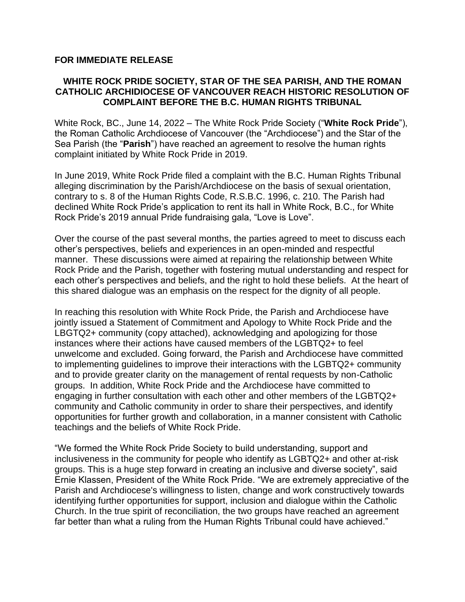## **FOR IMMEDIATE RELEASE**

## **WHITE ROCK PRIDE SOCIETY, STAR OF THE SEA PARISH, AND THE ROMAN CATHOLIC ARCHIDIOCESE OF VANCOUVER REACH HISTORIC RESOLUTION OF COMPLAINT BEFORE THE B.C. HUMAN RIGHTS TRIBUNAL**

White Rock, BC., June 14, 2022 – The White Rock Pride Society ("**White Rock Pride**"), the Roman Catholic Archdiocese of Vancouver (the "Archdiocese") and the Star of the Sea Parish (the "**Parish**") have reached an agreement to resolve the human rights complaint initiated by White Rock Pride in 2019.

In June 2019, White Rock Pride filed a complaint with the B.C. Human Rights Tribunal alleging discrimination by the Parish/Archdiocese on the basis of sexual orientation, contrary to s. 8 of the Human Rights Code, R.S.B.C. 1996, c. 210. The Parish had declined White Rock Pride's application to rent its hall in White Rock, B.C., for White Rock Pride's 2019 annual Pride fundraising gala, "Love is Love".

Over the course of the past several months, the parties agreed to meet to discuss each other's perspectives, beliefs and experiences in an open-minded and respectful manner. These discussions were aimed at repairing the relationship between White Rock Pride and the Parish, together with fostering mutual understanding and respect for each other's perspectives and beliefs, and the right to hold these beliefs. At the heart of this shared dialogue was an emphasis on the respect for the dignity of all people.

In reaching this resolution with White Rock Pride, the Parish and Archdiocese have jointly issued a Statement of Commitment and Apology to White Rock Pride and the LBGTQ2+ community (copy attached), acknowledging and apologizing for those instances where their actions have caused members of the LGBTQ2+ to feel unwelcome and excluded. Going forward, the Parish and Archdiocese have committed to implementing guidelines to improve their interactions with the LGBTQ2+ community and to provide greater clarity on the management of rental requests by non-Catholic groups. In addition, White Rock Pride and the Archdiocese have committed to engaging in further consultation with each other and other members of the LGBTQ2+ community and Catholic community in order to share their perspectives, and identify opportunities for further growth and collaboration, in a manner consistent with Catholic teachings and the beliefs of White Rock Pride.

"We formed the White Rock Pride Society to build understanding, support and inclusiveness in the community for people who identify as LGBTQ2+ and other at-risk groups. This is a huge step forward in creating an inclusive and diverse society", said Ernie Klassen, President of the White Rock Pride. "We are extremely appreciative of the Parish and Archdiocese's willingness to listen, change and work constructively towards identifying further opportunities for support, inclusion and dialogue within the Catholic Church. In the true spirit of reconciliation, the two groups have reached an agreement far better than what a ruling from the Human Rights Tribunal could have achieved."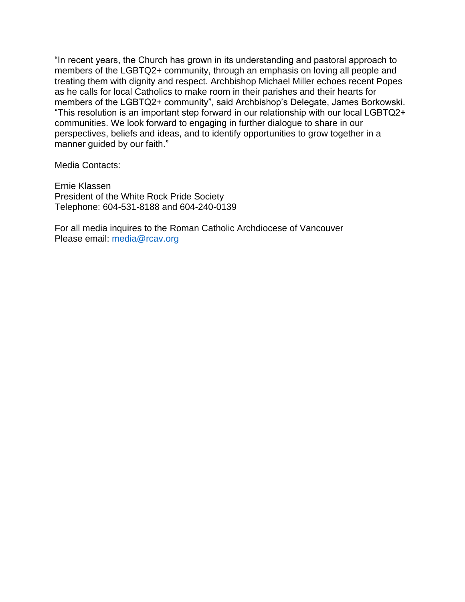"In recent years, the Church has grown in its understanding and pastoral approach to members of the LGBTQ2+ community, through an emphasis on loving all people and treating them with dignity and respect. Archbishop Michael Miller echoes recent Popes as he calls for local Catholics to make room in their parishes and their hearts for members of the LGBTQ2+ community", said Archbishop's Delegate, James Borkowski. "This resolution is an important step forward in our relationship with our local LGBTQ2+ communities. We look forward to engaging in further dialogue to share in our perspectives, beliefs and ideas, and to identify opportunities to grow together in a manner guided by our faith."

Media Contacts:

Ernie Klassen President of the White Rock Pride Society Telephone: 604-531-8188 and 604-240-0139

For all media inquires to the Roman Catholic Archdiocese of Vancouver Please email: [media@rcav.org](mailto:media@rcav.org)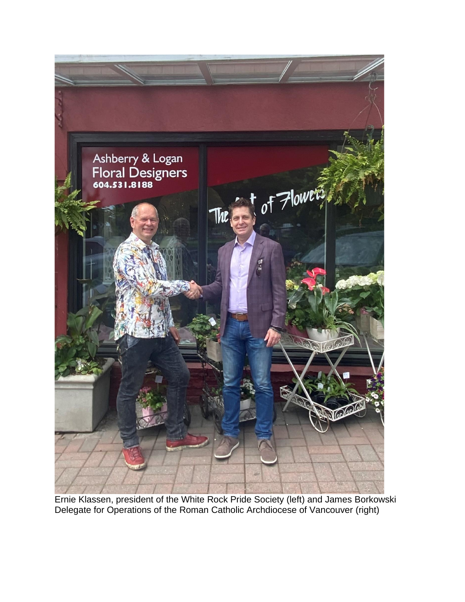

Ernie Klassen, president of the White Rock Pride Society (left) and James Borkowski Delegate for Operations of the Roman Catholic Archdiocese of Vancouver (right)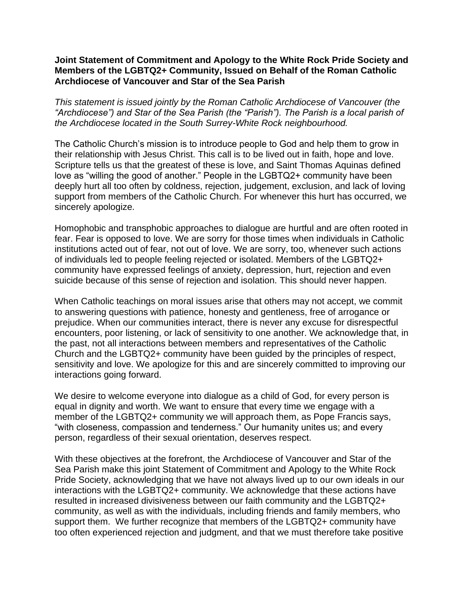## **Joint Statement of Commitment and Apology to the White Rock Pride Society and Members of the LGBTQ2+ Community, Issued on Behalf of the Roman Catholic Archdiocese of Vancouver and Star of the Sea Parish**

*This statement is issued jointly by the Roman Catholic Archdiocese of Vancouver (the "Archdiocese") and Star of the Sea Parish (the "Parish"). The Parish is a local parish of the Archdiocese located in the South Surrey-White Rock neighbourhood.* 

The Catholic Church's mission is to introduce people to God and help them to grow in their relationship with Jesus Christ. This call is to be lived out in faith, hope and love. Scripture tells us that the greatest of these is love, and Saint Thomas Aquinas defined love as "willing the good of another." People in the LGBTQ2+ community have been deeply hurt all too often by coldness, rejection, judgement, exclusion, and lack of loving support from members of the Catholic Church. For whenever this hurt has occurred, we sincerely apologize.

Homophobic and transphobic approaches to dialogue are hurtful and are often rooted in fear. Fear is opposed to love. We are sorry for those times when individuals in Catholic institutions acted out of fear, not out of love. We are sorry, too, whenever such actions of individuals led to people feeling rejected or isolated. Members of the LGBTQ2+ community have expressed feelings of anxiety, depression, hurt, rejection and even suicide because of this sense of rejection and isolation. This should never happen.

When Catholic teachings on moral issues arise that others may not accept, we commit to answering questions with patience, honesty and gentleness, free of arrogance or prejudice. When our communities interact, there is never any excuse for disrespectful encounters, poor listening, or lack of sensitivity to one another. We acknowledge that, in the past, not all interactions between members and representatives of the Catholic Church and the LGBTQ2+ community have been guided by the principles of respect, sensitivity and love. We apologize for this and are sincerely committed to improving our interactions going forward.

We desire to welcome everyone into dialogue as a child of God, for every person is equal in dignity and worth. We want to ensure that every time we engage with a member of the LGBTQ2+ community we will approach them, as Pope Francis says, "with closeness, compassion and tenderness." Our humanity unites us; and every person, regardless of their sexual orientation, deserves respect.

With these objectives at the forefront, the Archdiocese of Vancouver and Star of the Sea Parish make this joint Statement of Commitment and Apology to the White Rock Pride Society, acknowledging that we have not always lived up to our own ideals in our interactions with the LGBTQ2+ community. We acknowledge that these actions have resulted in increased divisiveness between our faith community and the LGBTQ2+ community, as well as with the individuals, including friends and family members, who support them. We further recognize that members of the LGBTQ2+ community have too often experienced rejection and judgment, and that we must therefore take positive